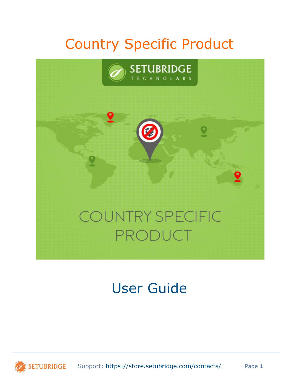# Country Specific Product



# User Guide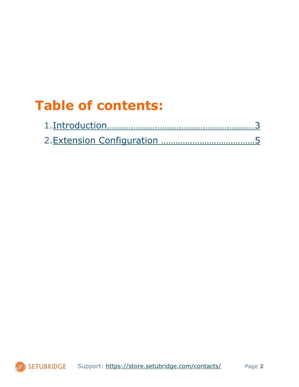# **Table of contents:**

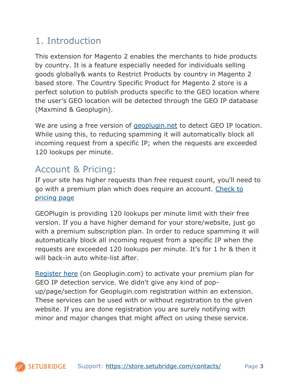## <span id="page-2-0"></span>1. Introduction

This extension for Magento 2 enables the merchants to hide products by country. It is a feature especially needed for individuals selling goods globally& wants to Restrict Products by country in Magento 2 based store. The Country Specific Product for Magento 2 store is a perfect solution to publish products specific to the GEO location where the user's GEO location will be detected through the GEO IP database (Maxmind & Geoplugin).

We are using a free version of [geoplugin.net](https://www.geoplugin.com/faq) to detect GEO IP location. While using this, to reducing spamming it will automatically block all incoming request from a specific IP; when the requests are exceeded 120 lookups per minute.

## Account & Pricing:

If your site has higher requests than free request count, you'll need to go with a premium plan which does require an account. [Check to](https://www.geoplugin.com/premium)  [pricing page](https://www.geoplugin.com/premium)

GEOPlugin is providing 120 lookups per minute limit with their free version. If you a have higher demand for your store/website, just go with a premium subscription plan. In order to reduce spamming it will automatically block all incoming request from a specific IP when the requests are exceeded 120 lookups per minute. It's for 1 hr & then it will back-in auto white-list after.

[Register here](https://www.geoplugin.com/signup.php) (on Geoplugin.com) to activate your premium plan for GEO IP detection service. We didn't give any kind of popup/page/section for Geoplugin.com registration within an extension. These services can be used with or without registration to the given website. If you are done registration you are surely notifying with minor and major changes that might affect on using these service.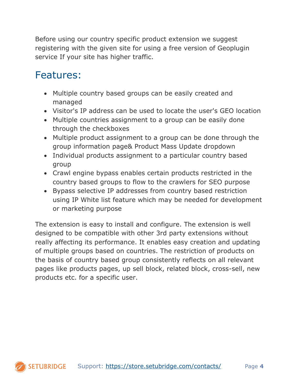Before using our country specific product extension we suggest registering with the given site for using a free version of Geoplugin service If your site has higher traffic.

## Features:

- Multiple country based groups can be easily created and managed
- Visitor's IP address can be used to locate the user's GEO location
- Multiple countries assignment to a group can be easily done through the checkboxes
- Multiple product assignment to a group can be done through the group information page& Product Mass Update dropdown
- Individual products assignment to a particular country based group
- Crawl engine bypass enables certain products restricted in the country based groups to flow to the crawlers for SEO purpose
- Bypass selective IP addresses from country based restriction using IP White list feature which may be needed for development or marketing purpose

The extension is easy to install and configure. The extension is well designed to be compatible with other 3rd party extensions without really affecting its performance. It enables easy creation and updating of multiple groups based on countries. The restriction of products on the basis of country based group consistently reflects on all relevant pages like products pages, up sell block, related block, cross-sell, new products etc. for a specific user.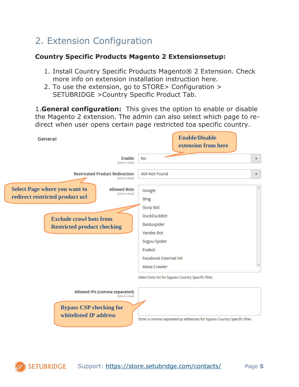## <span id="page-4-0"></span>2. Extension Configuration

### **Country Specific Products Magento 2 Extensionsetup:**

- 1. Install Country Specific Products Magento® 2 Extension. Check more info on extension installation instruction here.
- 2. To use the extension, go to STORE> Configuration > SETUBRIDGE >Country Specific Product Tab.

1.**General configuration:** This gives the option to enable or disable the Magento 2 extension. The admin can also select which page to redirect when user opens certain page restricted toa specific country.

| General                                                                 |                                                        | <b>Enable/Disable</b><br>extension from here                                                                                                          |                         |
|-------------------------------------------------------------------------|--------------------------------------------------------|-------------------------------------------------------------------------------------------------------------------------------------------------------|-------------------------|
|                                                                         | Enable<br>[store view]                                 | <b>No</b>                                                                                                                                             | $\overline{\mathbf{v}}$ |
|                                                                         | <b>Restricated Product Redirection</b><br>[store view] | 404 Not Found                                                                                                                                         | $\overline{\mathbf{v}}$ |
| <b>Select Page where you want to</b><br>redirect restricted product url | <b>Allowed Bots</b><br>[store view]                    | Google<br><b>Bing</b>                                                                                                                                 | A.                      |
| <b>Exclude crawl bots from</b><br><b>Restricted product checking</b>    |                                                        | <b>Slurp Bot</b><br><b>DuckDuckBot</b><br>Baiduspider<br><b>Yandex Bot</b><br>Sogou Spider<br>Exabot<br><b>Facebook External Hit</b><br>Alexa Crawler |                         |
| <b>Bypass CSP checking for</b><br>whitelisted IP address                | Allowed IPs (comma separated)<br>[store view]          | Select bots list for bypass Country Specific filter.                                                                                                  | a1                      |

Enter a comma separated ip addresses for bypass Country Specific filter.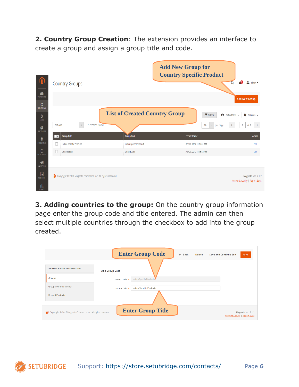**2. Country Group Creation**: The extension provides an interface to create a group and assign a group title and code.

|                                                      |                                                             |                                      | <b>Add New Group for</b><br><b>Country Specific Product</b> |                               |
|------------------------------------------------------|-------------------------------------------------------------|--------------------------------------|-------------------------------------------------------------|-------------------------------|
| ⑪                                                    | <b>Country Groups</b>                                       |                                      | 40                                                          | $\mathbf 1$ admin $\mathbf r$ |
| a<br><b>DASHBOARD</b>                                |                                                             |                                      | <b>Add New Group</b>                                        |                               |
| Ô<br><b>SET UBRIDGE</b>                              |                                                             | <b>List of Created Country Group</b> | O Default View v<br><b>Y</b> Filters                        | <b>Ö</b> Columns ▼            |
| $\frac{\mathsf{S}}{\mathsf{SALES}}$<br>ñ<br>PRODUCTS | 5 records found<br>Actions<br>$\blacktriangledown$          |                                      | 20<br>of 1<br>$\blacktriangleright$ per page                | $\rightarrow$                 |
| Å                                                    | <b>Group Title</b><br>⇁                                     | <b>Group Code</b>                    | <b>Created Time</b>                                         | <b>Action</b>                 |
| <b>CUSTOMERS</b>                                     | Indian Specific Product<br>ш                                | IndianSpecificProduct                | Apr 20, 2017 11:14:41 AM                                    | Edit                          |
| 0<br><b>WORDPRESS</b>                                | <b>United State</b><br>H                                    | UnitedState                          | Apr 20, 2017 11:15:42 AM                                    | Edit                          |
| H<br><b>MARKETING</b><br>$\square$                   |                                                             |                                      |                                                             |                               |
| <b>CONTENT</b><br>d,                                 | Copyright © 2017 Magento Commerce Inc. All rights reserved. |                                      | <b>Account Activity   Report Bugs</b>                       | Magento ver. 2.1.2            |

**3. Adding countries to the group:** On the country group information page enter the group code and title entered. The admin can then select multiple countries through the checkbox to add into the group created.

|                                                             | <b>Enter Group Code</b><br>$\leftarrow$ Back<br>Save and Continue Edit<br><b>Delete</b> | Save                                                        |
|-------------------------------------------------------------|-----------------------------------------------------------------------------------------|-------------------------------------------------------------|
| <b>COUNTRY GROUP INFORMATION</b>                            | <b>Add Group Data</b>                                                                   |                                                             |
| General                                                     | IndianSpecificProducts<br>Group Code *                                                  |                                                             |
| <b>Group Country Selection</b>                              | <b>Indian Specific Products</b><br>Group Title *                                        |                                                             |
| <b>Related Products</b>                                     |                                                                                         |                                                             |
| Copyright © 2017 Magento Commerce Inc. All rights reserved. | <b>Enter Group Title</b>                                                                | Magento ver. 2.1.2<br><b>Account Activity   Report Bugs</b> |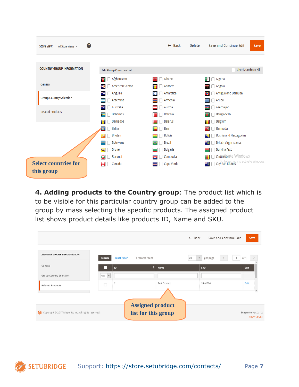

**4. Adding products to the Country group**: The product list which is to be visible for this particular country group can be added to the group by mass selecting the specific products. The assigned product list shows product details like products ID, Name and SKU.

|                                                     |                          |                     |                         |                     | $\leftarrow$ Back<br>Save and Continue Edit | Save                                     |
|-----------------------------------------------------|--------------------------|---------------------|-------------------------|---------------------|---------------------------------------------|------------------------------------------|
| <b>COUNTRY GROUP INFORMATION</b>                    | Search                   | <b>Reset Filter</b> | 1 records found         |                     | 20<br>per page<br>$\mathbf{v}$              | of 1                                     |
| General                                             |                          | ID                  |                         | <b>Name</b>         | <b>SKU</b>                                  | Edit                                     |
| Group Country Selection                             | Any $\blacktriangledown$ |                     |                         |                     |                                             |                                          |
| <b>Related Products</b>                             |                          | $\overline{2}$      |                         | <b>Test Product</b> | 24-MB04                                     | Edit                                     |
|                                                     |                          |                     |                         |                     |                                             |                                          |
|                                                     |                          |                     | <b>Assigned product</b> |                     |                                             |                                          |
| Copyright © 2017 Magento, Inc. All rights reserved. |                          |                     | list for this group     |                     |                                             | Magento ver. 2.1.2<br><b>Report Bugs</b> |

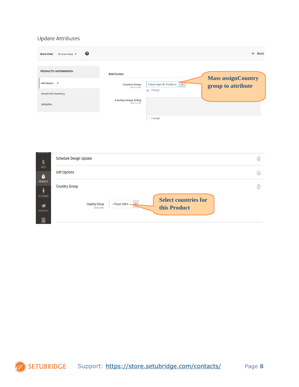#### **Update Attributes**

| 0<br><b>Store View:</b><br>All Store Views $\blacktriangledown$ |                                             | $\leftarrow$ Back                                                                               |
|-----------------------------------------------------------------|---------------------------------------------|-------------------------------------------------------------------------------------------------|
| <b>PRODUCTS INFORMATION</b>                                     | <b>Attributes</b>                           |                                                                                                 |
| Attributes /                                                    | <b>Country Group</b><br>[store view]        | <b>Mass assignCountry</b><br>Indian Specific Products<br>$\blacktriangle$<br>group to attribute |
| Advanced Inventory                                              |                                             | $\triangledown$ Change                                                                          |
| Websites                                                        | <b>Country Group String</b><br>[store view] |                                                                                                 |
|                                                                 |                                             | Change                                                                                          |

| <b>SETUDIMUGE</b><br>\$ | <b>Schedule Design Update</b>                                                               | $(\vee)$ |
|-------------------------|---------------------------------------------------------------------------------------------|----------|
| SALES<br>Ŷ              | <b>Gift Options</b>                                                                         | $(\vee)$ |
| <b>PRODUCTS</b>         | <b>Country Group</b>                                                                        | $\odot$  |
| <b>CUSTOMERS</b><br>H   | <b>Select countries for</b><br>-- Please Select - V<br><b>Country Group</b><br>[store view] |          |
| MARKETING<br>同          | this Product                                                                                |          |

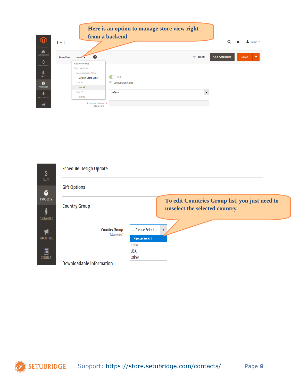



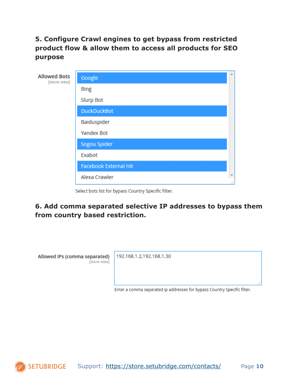**5. Configure Crawl engines to get bypass from restricted product flow & allow them to access all products for SEO purpose**

| <b>Allowed Bots</b><br>[store view] | Google                       |    |
|-------------------------------------|------------------------------|----|
|                                     | <b>Bing</b>                  |    |
|                                     | <b>Slurp Bot</b>             |    |
|                                     | <b>DuckDuckBot</b>           |    |
|                                     | Baiduspider                  |    |
|                                     | Yandex Bot                   |    |
|                                     | Sogou Spider                 |    |
|                                     | Exabot                       |    |
|                                     | <b>Facebook External Hit</b> |    |
|                                     | Alexa Crawler                | ai |
|                                     |                              |    |

Select bots list for bypass Country Specific filter.

**6. Add comma separated selective IP addresses to bypass them from country based restriction.**

Allowed IPs (comma separated) [store view]

192.168.1.2,192.168.1.30

Enter a comma separated ip addresses for bypass Country Specific filter.

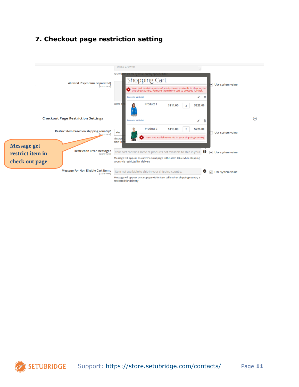### **7. Checkout page restriction setting**

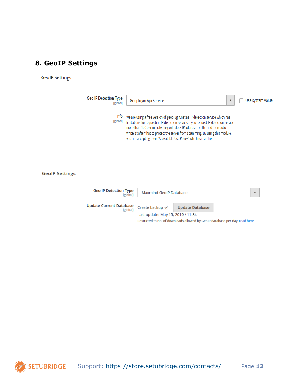### **8. GeoIP Settings**

#### **GeolP Settings**

| <b>Geo IP Detection Type</b><br>[global] | Geoplugin Api Service<br>▼                                                                                                                                                                                                                                                                                                                                                                                    | Use system value |
|------------------------------------------|---------------------------------------------------------------------------------------------------------------------------------------------------------------------------------------------------------------------------------------------------------------------------------------------------------------------------------------------------------------------------------------------------------------|------------------|
| Info<br>[global]                         | We are using a free version of geoplugin.net as IP detection service which has<br>limitations for requesting IP detection service. If you request IP detection service<br>more than 120 per minute they will block IP address for 1hr and then auto-<br>whitelist after that to protect the server from spamming. By using this module,<br>you are accepting their "Acceptable Use Policy" which is read here |                  |

#### **GeoIP Settings**

| <b>Geo IP Detection Type</b><br>[global]          | Maxmind GeolP Database                                                      |                        |  |  |
|---------------------------------------------------|-----------------------------------------------------------------------------|------------------------|--|--|
| <b>Update Current Database</b><br><b>[global]</b> | Create backup $\overline{\smile}$                                           | <b>Update Database</b> |  |  |
|                                                   | Last update: May 15, 2019 / 11:34                                           |                        |  |  |
|                                                   | Restricted to no. of downloads allowed by GeoIP database per day, read here |                        |  |  |